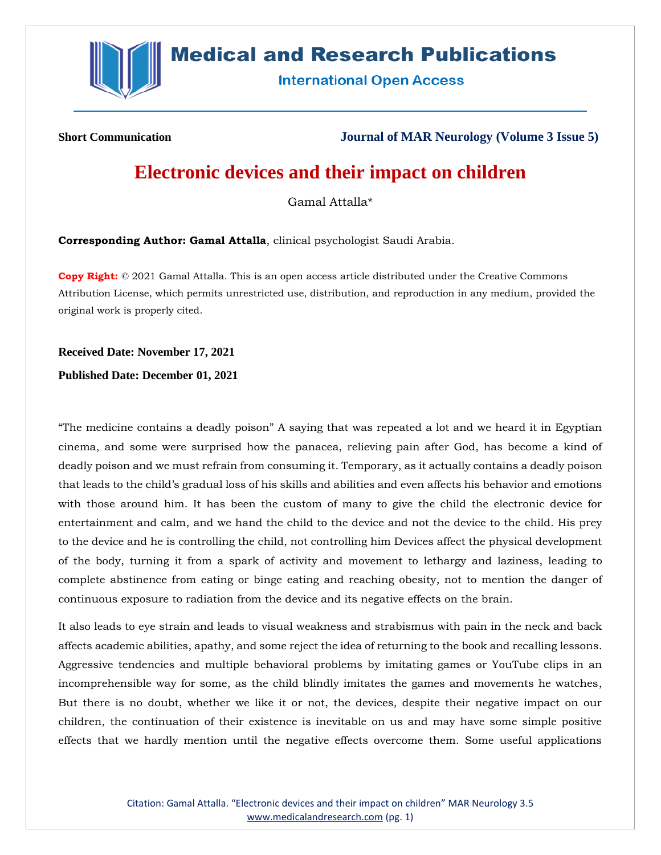

## **Medical and Research Publications**

**International Open Access** 

**Short Communication Journal of MAR Neurology (Volume 3 Issue 5)**

## **Electronic devices and their impact on children**

Gamal Attalla\*

**Corresponding Author: Gamal Attalla**, clinical psychologist Saudi Arabia.

**Copy Right:** © 2021 Gamal Attalla. This is an open access article distributed under the Creative Commons Attribution License, which permits unrestricted use, distribution, and reproduction in any medium, provided the original work is properly cited.

**Received Date: November 17, 2021**

**Published Date: December 01, 2021**

"The medicine contains a deadly poison" A saying that was repeated a lot and we heard it in Egyptian cinema, and some were surprised how the panacea, relieving pain after God, has become a kind of deadly poison and we must refrain from consuming it. Temporary, as it actually contains a deadly poison that leads to the child's gradual loss of his skills and abilities and even affects his behavior and emotions with those around him. It has been the custom of many to give the child the electronic device for entertainment and calm, and we hand the child to the device and not the device to the child. His prey to the device and he is controlling the child, not controlling him Devices affect the physical development of the body, turning it from a spark of activity and movement to lethargy and laziness, leading to complete abstinence from eating or binge eating and reaching obesity, not to mention the danger of continuous exposure to radiation from the device and its negative effects on the brain.

It also leads to eye strain and leads to visual weakness and strabismus with pain in the neck and back affects academic abilities, apathy, and some reject the idea of returning to the book and recalling lessons. Aggressive tendencies and multiple behavioral problems by imitating games or YouTube clips in an incomprehensible way for some, as the child blindly imitates the games and movements he watches, But there is no doubt, whether we like it or not, the devices, despite their negative impact on our children, the continuation of their existence is inevitable on us and may have some simple positive effects that we hardly mention until the negative effects overcome them. Some useful applications